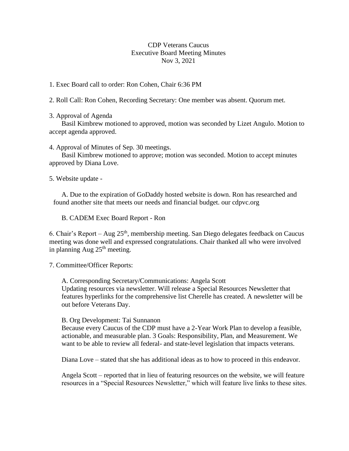# CDP Veterans Caucus Executive Board Meeting Minutes Nov 3, 2021

1. Exec Board call to order: Ron Cohen, Chair 6:36 PM

2. Roll Call: Ron Cohen, Recording Secretary: One member was absent. Quorum met.

3. Approval of Agenda

Basil Kimbrew motioned to approved, motion was seconded by Lizet Angulo. Motion to accept agenda approved.

4. Approval of Minutes of Sep. 30 meetings.

Basil Kimbrew motioned to approve; motion was seconded. Motion to accept minutes approved by Diana Love.

5. Website update -

A. Due to the expiration of GoDaddy hosted website is down. Ron has researched and found another site that meets our needs and financial budget. our cdpvc.org

B. CADEM Exec Board Report - Ron

6. Chair's Report – Aug  $25<sup>th</sup>$ , membership meeting. San Diego delegates feedback on Caucus meeting was done well and expressed congratulations. Chair thanked all who were involved in planning Aug  $25<sup>th</sup>$  meeting.

7. Committee/Officer Reports:

A. Corresponding Secretary/Communications: Angela Scott Updating resources via newsletter. Will release a Special Resources Newsletter that features hyperlinks for the comprehensive list Cherelle has created. A newsletter will be out before Veterans Day.

## B. Org Development: Tai Sunnanon

Because every Caucus of the CDP must have a 2-Year Work Plan to develop a feasible, actionable, and measurable plan. 3 Goals: Responsibility, Plan, and Measurement. We want to be able to review all federal- and state-level legislation that impacts veterans.

Diana Love – stated that she has additional ideas as to how to proceed in this endeavor.

Angela Scott – reported that in lieu of featuring resources on the website, we will feature resources in a "Special Resources Newsletter," which will feature live links to these sites.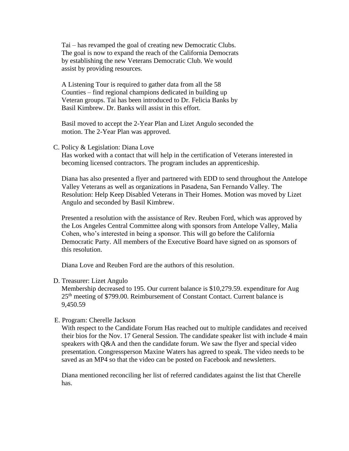Tai – has revamped the goal of creating new Democratic Clubs. The goal is now to expand the reach of the California Democrats by establishing the new Veterans Democratic Club. We would assist by providing resources.

A Listening Tour is required to gather data from all the 58 Counties – find regional champions dedicated in building up Veteran groups. Tai has been introduced to Dr. Felicia Banks by Basil Kimbrew. Dr. Banks will assist in this effort.

Basil moved to accept the 2-Year Plan and Lizet Angulo seconded the motion. The 2-Year Plan was approved.

### C. Policy & Legislation: Diana Love

Has worked with a contact that will help in the certification of Veterans interested in becoming licensed contractors. The program includes an apprenticeship.

Diana has also presented a flyer and partnered with EDD to send throughout the Antelope Valley Veterans as well as organizations in Pasadena, San Fernando Valley. The Resolution: Help Keep Disabled Veterans in Their Homes. Motion was moved by Lizet Angulo and seconded by Basil Kimbrew.

Presented a resolution with the assistance of Rev. Reuben Ford, which was approved by the Los Angeles Central Committee along with sponsors from Antelope Valley, Malia Cohen, who's interested in being a sponsor. This will go before the California Democratic Party. All members of the Executive Board have signed on as sponsors of this resolution.

Diana Love and Reuben Ford are the authors of this resolution.

#### D. Treasurer: Lizet Angulo

Membership decreased to 195. Our current balance is \$10,279.59. expenditure for Aug 25<sup>th</sup> meeting of \$799.00. Reimbursement of Constant Contact. Current balance is 9,450.59

#### E. Program: Cherelle Jackson

With respect to the Candidate Forum Has reached out to multiple candidates and received their bios for the Nov. 17 General Session. The candidate speaker list with include 4 main speakers with Q&A and then the candidate forum. We saw the flyer and special video presentation. Congressperson Maxine Waters has agreed to speak. The video needs to be saved as an MP4 so that the video can be posted on Facebook and newsletters.

Diana mentioned reconciling her list of referred candidates against the list that Cherelle has.